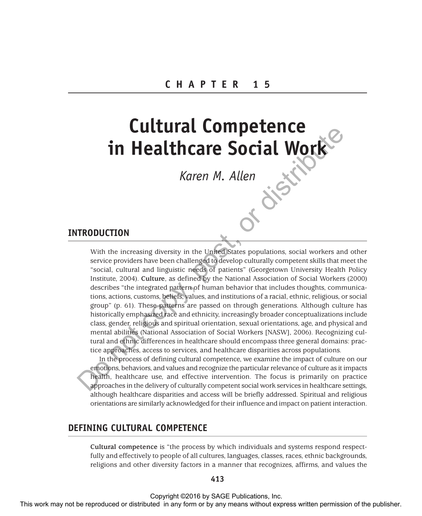# **Cultural Competence in Healthcare Social Work**

*Karen M. Allen*

## **INTRODUCTION**

With the increasing diversity in the United States populations, social workers and other service providers have been challenged to develop culturally competent skills that meet the "social, cultural and linguistic needs of patients" (Georgetown University Health Policy Institute, 2004). **Culture**, as defined by the National Association of Social Workers (2000) describes "the integrated pattern of human behavior that includes thoughts, communications, actions, customs, beliefs, values, and institutions of a racial, ethnic, religious, or social group" (p. 61). These patterns are passed on through generations. Although culture has historically emphasized race and ethnicity, increasingly broader conceptualizations include class, gender, religious and spiritual orientation, sexual orientations, age, and physical and mental abilities (National Association of Social Workers [NASW], 2006). Recognizing cultural and ethnic differences in healthcare should encompass three general domains: practice approaches, access to services, and healthcare disparities across populations. **The Health Care Social Work May also are the reproduced or distributed in any form or by any means without express and other specific provides have been challenged in alcohed permission. Social values are distributed in** 

In the process of defining cultural competence, we examine the impact of culture on our emotions, behaviors, and values and recognize the particular relevance of culture as it impacts health, healthcare use, and effective intervention. The focus is primarily on practice approaches in the delivery of culturally competent social work services in healthcare settings, although healthcare disparities and access will be briefly addressed. Spiritual and religious orientations are similarly acknowledged for their influence and impact on patient interaction.

# **DEFINING CULTURAL COMPETENCE**

**Cultural competence** is "the process by which individuals and systems respond respectfully and effectively to people of all cultures, languages, classes, races, ethnic backgrounds, religions and other diversity factors in a manner that recognizes, affirms, and values the

#### **413**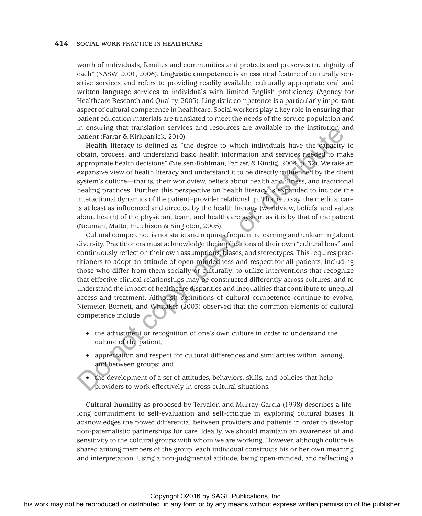worth of individuals, families and communities and protects and preserves the dignity of each" (NASW, 2001, 2006). **Linguistic competence** is an essential feature of culturally sensitive services and refers to providing readily available, culturally appropriate oral and written language services to individuals with limited English proficiency (Agency for Healthcare Research and Quality, 2003). Linguistic competence is a particularly important aspect of cultural competence in healthcare. Social workers play a key role in ensuring that patient education materials are translated to meet the needs of the service population and in ensuring that translation services and resources are available to the institution and patient (Farrar & Kirkpatrick, 2010).

**Health literacy** is defined as "the degree to which individuals have the capacity to obtain, process, and understand basic health information and services needed to make appropriate health decisions" (Nielsen-Bohlman, Panzer, & Kindig, 2004, p. 32). We take an expansive view of health literacy and understand it to be directly influenced by the client system's culture—that is, their worldview, beliefs about health and illness, and traditional healing practices**.** Further, this perspective on health literacy is expanded to include the interactional dynamics of the patient–provider relationship. That is to say, the medical care is at least as influenced and directed by the health literacy (worldview, beliefs, and values about health) of the physician, team, and healthcare system as it is by that of the patient (Neuman, Matto, Hutchison & Singleton, 2005). IT of the rest may not the reproduced or distributed in any form of the may mean the reproduced or distributed in any form or by any means with the reproduced or the publisher in any form or by any means we consider the pu

Cultural competence is not static and requires frequent relearning and unlearning about diversity. Practitioners must acknowledge the implications of their own "cultural lens" and continuously reflect on their own assumptions, biases, and stereotypes. This requires practitioners to adopt an attitude of open-mindedness and respect for all patients, including those who differ from them socially or culturally; to utilize interventions that recognize that effective clinical relationships may be constructed differently across cultures; and to understand the impact of healthcare disparities and inequalities that contribute to unequal access and treatment. Although definitions of cultural competence continue to evolve, Niemeier, Burnett, and Whitaker (2003) observed that the common elements of cultural competence include

- the adjustment or recognition of one's own culture in order to understand the culture of the patient;
- appreciation and respect for cultural differences and similarities within, among, and between groups; and
- the development of a set of attitudes, behaviors, skills, and policies that help providers to work effectively in cross-cultural situations.

**Cultural humility** as proposed by Tervalon and Murray-Garcia (1998) describes a lifelong commitment to self-evaluation and self-critique in exploring cultural biases. It acknowledges the power differential between providers and patients in order to develop non-paternalistic partnerships for care. Ideally, we should maintain an awareness of and sensitivity to the cultural groups with whom we are working. However, although culture is shared among members of the group, each individual constructs his or her own meaning and interpretation. Using a non-judgmental attitude, being open-minded, and reflecting a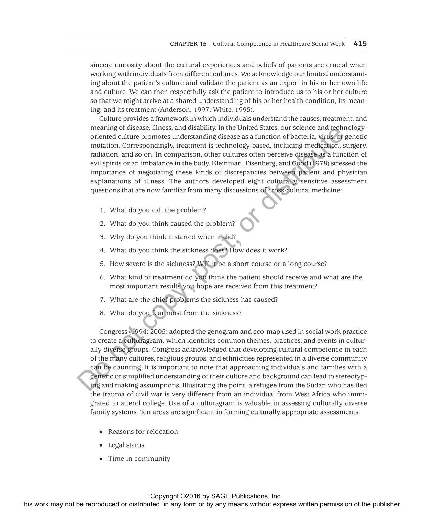sincere curiosity about the cultural experiences and beliefs of patients are crucial when working with individuals from different cultures. We acknowledge our limited understanding about the patient's culture and validate the patient as an expert in his or her own life and culture. We can then respectfully ask the patient to introduce us to his or her culture so that we might arrive at a shared understanding of his or her health condition, its meaning, and its treatment (Anderson, 1997; White, 1995).

Culture provides a framework in which individuals understand the causes, treatment, and meaning of disease, illness, and disability. In the United States, our science and technologyoriented culture promotes understanding disease as a function of bacteria, virus, or genetic mutation. Correspondingly, treatment is technology-based, including medication, surgery, radiation, and so on. In comparison, other cultures often perceive disease as a function of evil spirits or an imbalance in the body. Kleinman, Eisenberg, and Good (1978) stressed the importance of negotiating these kinds of discrepancies between patient and physician explanations of illness. The authors developed eight culturally sensitive assessment questions that are now familiar from many discussions of cross-cultural medicine:

- 1. What do you call the problem?
- 2. What do you think caused the problem?
- 3. Why do you think it started when it did?
- 4. What do you think the sickness does? How does it work?
- 5. How severe is the sickness? Will it be a short course or a long course?
- 6. What kind of treatment do you think the patient should receive and what are the most important results you hope are received from this treatment?
- 7. What are the chief problems the sickness has caused?
- 8. What do you fear most from the sickness?

Congress (1994; 2005) adopted the genogram and eco-map used in social work practice to create a **culturagram***,* which identifies common themes, practices, and events in culturally diverse groups. Congress acknowledged that developing cultural competence in each of the many cultures, religious groups, and ethnicities represented in a diverse community can be daunting. It is important to note that approaching individuals and families with a generic or simplified understanding of their culture and background can lead to stereotyping and making assumptions. Illustrating the point, a refugee from the Sudan who has fled the trauma of civil war is very different from an individual from West Africa who immigrated to attend college. Use of a culturagram is valuable in assessing culturally diverse family systems. Ten areas are significant in forming culturally appropriate assessments: The may observe may not be reproduced or distributed in any form or by any means with a may not be reproduced in any the reproduced in any means with the publisher and the publisher and the publisher and the publisher and

- **Reasons for relocation**
- Legal status
- Time in community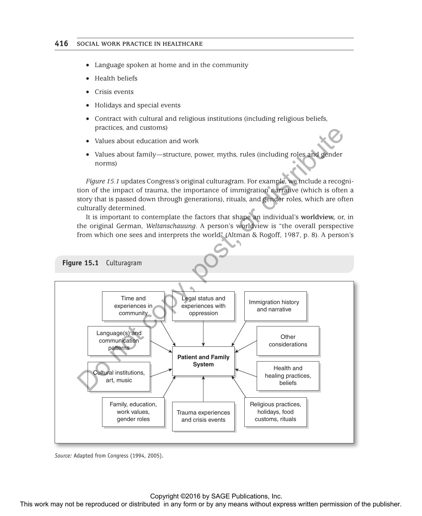- Language spoken at home and in the community
- Health beliefs
- • Crisis events
- Holidays and special events
- • Contract with cultural and religious institutions (including religious beliefs, practices, and customs)
- Values about education and work
- • Values about family—structure, power, myths, rules (including roles and gender norms)

*Figure 15.1* updates Congress's original culturagram. For example, we include a recognition of the impact of trauma, the importance of immigration narrative (which is often a story that is passed down through generations), rituals, and gender roles, which are often culturally determined.

It is important to contemplate the factors that shape an individual's **worldview,** or, in the original German, *Weltanschauung*. A person's worldview is "the overall perspective from which one sees and interprets the world" (Altman & Rogoff, 1987, p. 8). A person's





*Source:* Adapted from Congress (1994, 2005).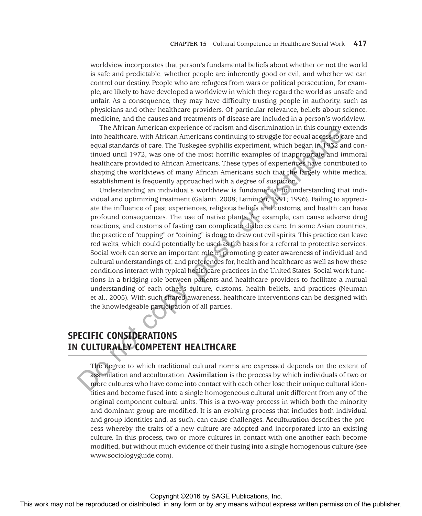worldview incorporates that person's fundamental beliefs about whether or not the world is safe and predictable, whether people are inherently good or evil, and whether we can control our destiny. People who are refugees from wars or political persecution, for example, are likely to have developed a worldview in which they regard the world as unsafe and unfair. As a consequence, they may have difficulty trusting people in authority, such as physicians and other healthcare providers. Of particular relevance, beliefs about science, medicine, and the causes and treatments of disease are included in a person's worldview.

The African American experience of racism and discrimination in this country extends into healthcare, with African Americans continuing to struggle for equal access to care and equal standards of care. The Tuskegee syphilis experiment, which began in 1932 and continued until 1972, was one of the most horrific examples of inappropriate and immoral healthcare provided to African Americans. These types of experiences have contributed to shaping the worldviews of many African Americans such that the largely white medical establishment is frequently approached with a degree of suspicion.

Understanding an individual's worldview is fundamental to understanding that individual and optimizing treatment (Galanti, 2008; Leininger, 1991; 1996). Failing to appreciate the influence of past experiences, religious beliefs and customs, and health can have profound consequences. The use of native plants, for example, can cause adverse drug reactions, and customs of fasting can complicate diabetes care. In some Asian countries, the practice of "cupping" or "coining" is done to draw out evil spirits. This practice can leave red welts, which could potentially be used as the basis for a referral to protective services. Social work can serve an important role in promoting greater awareness of individual and cultural understandings of, and preferences for, health and healthcare as well as how these conditions interact with typical healthcare practices in the United States. Social work functions in a bridging role between patients and healthcare providers to facilitate a mutual understanding of each other's culture, customs, health beliefs, and practices (Neuman et al., 2005). With such shared awareness, healthcare interventions can be designed with the knowledgeable participation of all parties. The more term of the three contents may not be represented or the publisher way not be reproduced in any form or  $\sim$  by any means with the publisher permission of the publisher permission of the publishers with the publi

# **SPECIFIC CONSIDERATIONS IN CULTURALLY COMPETENT HEALTHCARE**

The degree to which traditional cultural norms are expressed depends on the extent of assimilation and acculturation. **Assimilation** is the process by which individuals of two or more cultures who have come into contact with each other lose their unique cultural identities and become fused into a single homogeneous cultural unit different from any of the original component cultural units. This is a two-way process in which both the minority and dominant group are modified. It is an evolving process that includes both individual and group identities and, as such, can cause challenges. **Acculturation** describes the process whereby the traits of a new culture are adopted and incorporated into an existing culture. In this process, two or more cultures in contact with one another each become modified, but without much evidence of their fusing into a single homogenous culture (see [www.sociologyguide.com\)](http://www.sociologyguide.com).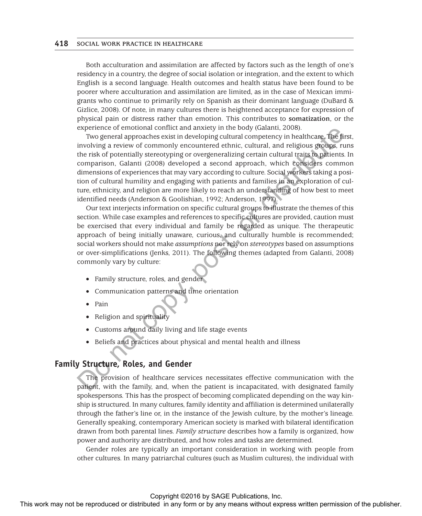Both acculturation and assimilation are affected by factors such as the length of one's residency in a country, the degree of social isolation or integration, and the extent to which English is a second language. Health outcomes and health status have been found to be poorer where acculturation and assimilation are limited, as in the case of Mexican immigrants who continue to primarily rely on Spanish as their dominant language (DuBard & Gizlice, 2008). Of note, in many cultures there is heightened acceptance for expression of physical pain or distress rather than emotion. This contributes to **somatization**, or the experience of emotional conflict and anxiety in the body (Galanti, 2008).

Two general approaches exist in developing cultural competency in healthcare. The first, involving a review of commonly encountered ethnic, cultural, and religious groups, runs the risk of potentially stereotyping or overgeneralizing certain cultural traits to patients. In comparison, Galanti (2008) developed a second approach, which considers common dimensions of experiences that may vary according to culture. Social workers taking a position of cultural humility and engaging with patients and families in an exploration of culture, ethnicity, and religion are more likely to reach an understanding of how best to meet identified needs (Anderson & Goolishian, 1992; Anderson, 1997).

Our text interjects information on specific cultural groups to illustrate the themes of this section. While case examples and references to specific cultures are provided, caution must be exercised that every individual and family be regarded as unique. The therapeutic approach of being initially unaware, curious, and culturally humble is recommended; social workers should not make *assumptions* nor rely on *stereotypes* based on assumptions or over-simplifications (Jenks, 2011). The following themes (adapted from Galanti, 2008) commonly vary by culture:

- Family structure, roles, and gender
- • Communication patterns and time orientation
- • Pain
- Religion and spirituality
- Customs around daily living and life stage events
- Beliefs and practices about physical and mental health and illness

# **Family Structure, Roles, and Gender**

The provision of healthcare services necessitates effective communication with the patient, with the family, and, when the patient is incapacitated, with designated family spokespersons. This has the prospect of becoming complicated depending on the way kinship is structured. In many cultures, family identity and affiliation is determined unilaterally through the father's line or, in the instance of the Jewish culture, by the mother's lineage. Generally speaking, contemporary American society is marked with bilateral identification drawn from both parental lines. *Family structure* describes how a family is organized, how power and authority are distributed, and how roles and tasks are determined. operator or arrow or arrow in any means when the publishering the publishering the reproduced or distributed in any means with the publishers in the relation of the publisher of the publisher of the publisher of the publ

Gender roles are typically an important consideration in working with people from other cultures. In many patriarchal cultures (such as Muslim cultures), the individual with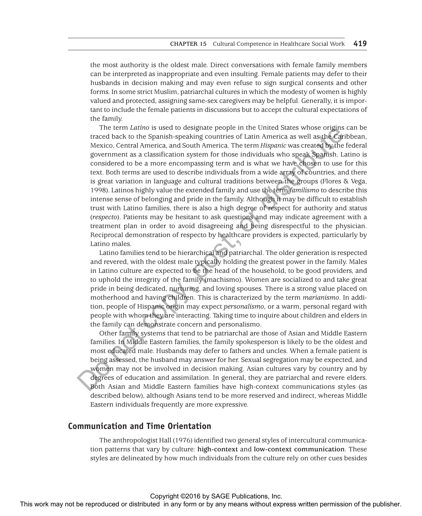the most authority is the oldest male. Direct conversations with female family members can be interpreted as inappropriate and even insulting. Female patients may defer to their husbands in decision making and may even refuse to sign surgical consents and other forms. In some strict Muslim, patriarchal cultures in which the modesty of women is highly valued and protected, assigning same-sex caregivers may be helpful. Generally, it is important to include the female patients in discussions but to accept the cultural expectations of the family.

The term *Latino* is used to designate people in the United States whose origins can be traced back to the Spanish-speaking countries of Latin America as well as the Caribbean, Mexico, Central America, and South America. The term *Hispanic* was created by the federal government as a classification system for those individuals who speak Spanish. Latino is considered to be a more encompassing term and is what we have chosen to use for this text. Both terms are used to describe individuals from a wide array of countries, and there is great variation in language and cultural traditions between the groups (Flores  $\&$  Vega, 1998). Latinos highly value the extended family and use the term *familismo* to describe this intense sense of belonging and pride in the family. Although it may be difficult to establish trust with Latino families, there is also a high degree of respect for authority and status (*respecto*). Patients may be hesitant to ask questions and may indicate agreement with a treatment plan in order to avoid disagreeing and being disrespectful to the physician. Reciprocal demonstration of respecto by healthcare providers is expected, particularly by Latino males. The may not be reproduced or the reproduced or distributed in any form or by any means with any form or by any form or by any means with the publisher of the publisher beat with the publisher of the publisher of the publis

Latino families tend to be hierarchical and patriarchal. The older generation is respected and revered, with the oldest male typically holding the greatest power in the family. Males in Latino culture are expected to be the head of the household, to be good providers, and to uphold the integrity of the family (machismo). Women are socialized to and take great pride in being dedicated, nurturing, and loving spouses. There is a strong value placed on motherhood and having children. This is characterized by the term *marianismo*. In addition, people of Hispanic origin may expect *personalismo,* or a warm, personal regard with people with whom they are interacting. Taking time to inquire about children and elders in the family can demonstrate concern and personalismo.

Other family systems that tend to be patriarchal are those of Asian and Middle Eastern families. In Middle Eastern families, the family spokesperson is likely to be the oldest and most educated male. Husbands may defer to fathers and uncles. When a female patient is being assessed, the husband may answer for her. Sexual segregation may be expected, and women may not be involved in decision making. Asian cultures vary by country and by degrees of education and assimilation. In general, they are patriarchal and revere elders. Both Asian and Middle Eastern families have high-context communications styles (as described below), although Asians tend to be more reserved and indirect, whereas Middle Eastern individuals frequently are more expressive.

## **Communication and Time Orientation**

The anthropologist Hall (1976) identified two general styles of intercultural communication patterns that vary by culture: **high-context** and **low-context communication**. These styles are delineated by how much individuals from the culture rely on other cues besides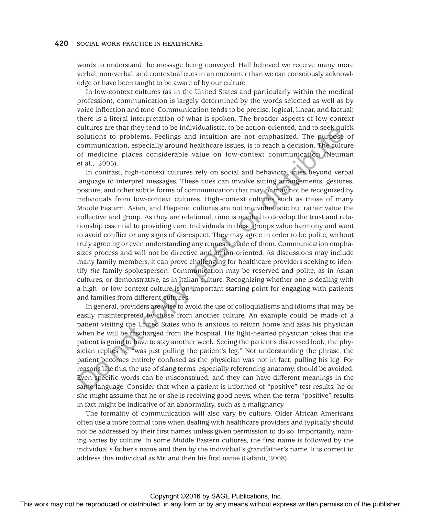words to understand the message being conveyed. Hall believed we receive many more verbal, non-verbal, and contextual cues in an encounter than we can consciously acknowledge or have been taught to be aware of by our culture.

In low-context cultures (as in the United States and particularly within the medical profession), communication is largely determined by the words selected as well as by voice inflection and tone. Communication tends to be precise, logical, linear, and factual; there is a literal interpretation of what is spoken. The broader aspects of low-context cultures are that they tend to be individualistic, to be action-oriented, and to seek quick solutions to problems. Feelings and intuition are not emphasized. The purpose of communication, especially around healthcare issues, is to reach a decision. The culture of medicine places considerable value on low-context communication (Neuman et al., 2005).

In contrast, high-context cultures rely on social and behavioral cues beyond verbal language to interpret messages. These cues can involve sitting arrangements, gestures, posture, and other subtle forms of communication that may or may not be recognized by individuals from low-context cultures. High-context cultures such as those of many Middle Eastern, Asian, and Hispanic cultures are not individualistic but rather value the collective and group. As they are relational, time is needed to develop the trust and relationship essential to providing care. Individuals in these groups value harmony and want to avoid conflict or any signs of disrespect. They may agree in order to be polite, without truly agreeing or even understanding any requests made of them. Communication emphasizes process and will not be directive and action-oriented. As discussions may include many family members, it can prove challenging for healthcare providers seeking to identify *the* family spokesperson. Communication may be reserved and polite, as in Asian cultures, or demonstrative, as in Italian culture. Recognizing whether one is dealing with a high- or low-context culture is an important starting point for engaging with patients and families from different cultures. of the reproduced are the reproduced or the reproduced or distributed in any form or by any means with permission or the reproduced or the reproduced or the results of the publisher in any means when the results of the pub

In general, providers are wise to avoid the use of colloquialisms and idioms that may be easily misinterpreted by those from another culture. An example could be made of a patient visiting the United States who is anxious to return home and asks his physician when he will be discharged from the hospital. His light-hearted physician jokes that the patient is going to have to stay another week. Seeing the patient's distressed look, the physician replies he "was just pulling the patient's leg." Not understanding the phrase, the patient becomes entirely confused as the physician was not in fact, pulling his leg. For reasons like this, the use of slang terms, especially referencing anatomy, should be avoided. Even specific words can be misconstrued, and they can have different meanings in the same language. Consider that when a patient is informed of "positive" test results, he or she might assume that he or she is receiving good news, when the term "positive" results in fact might be indicative of an abnormality, such as a malignancy.

The formality of communication will also vary by culture. Older African Americans often use a more formal tone when dealing with healthcare providers and typically should not be addressed by their first names unless given permission to do so. Importantly, naming varies by culture. In some Middle Eastern cultures, the first name is followed by the individual's father's name and then by the individual's grandfather's name. It is correct to address this individual as Mr. and then his first name (Galanti, 2008).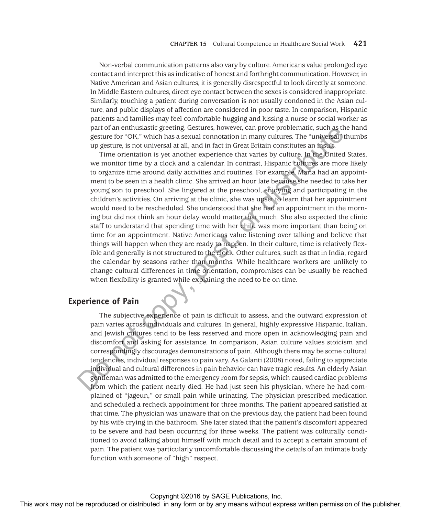Non-verbal communication patterns also vary by culture. Americans value prolonged eye contact and interpret this as indicative of honest and forthright communication. However, in Native American and Asian cultures, it is generally disrespectful to look directly at someone. In Middle Eastern cultures, direct eye contact between the sexes is considered inappropriate. Similarly, touching a patient during conversation is not usually condoned in the Asian culture, and public displays of affection are considered in poor taste. In comparison, Hispanic patients and families may feel comfortable hugging and kissing a nurse or social worker as part of an enthusiastic greeting. Gestures, however, can prove problematic, such as the hand gesture for "OK," which has a sexual connotation in many cultures. The "universal" thumbs up gesture, is not universal at all, and in fact in Great Britain constitutes an insult.

Time orientation is yet another experience that varies by culture. In the United States, we monitor time by a clock and a calendar. In contrast, Hispanic cultures are more likely to organize time around daily activities and routines. For example, Maria had an appointment to be seen in a health clinic. She arrived an hour late because she needed to take her young son to preschool. She lingered at the preschool, enjoying and participating in the children's activities. On arriving at the clinic, she was upset to learn that her appointment would need to be rescheduled. She understood that she had an appointment in the morning but did not think an hour delay would matter that much. She also expected the clinic staff to understand that spending time with her child was more important than being on time for an appointment. Native Americans value listening over talking and believe that things will happen when they are ready to happen. In their culture, time is relatively flexible and generally is not structured to the clock. Other cultures, such as that in India, regard the calendar by seasons rather than months. While healthcare workers are unlikely to change cultural differences in time orientation, compromises can be usually be reached when flexibility is granted while explaining the need to be on time.

# **Experience of Pain**

The subjective experience of pain is difficult to assess, and the outward expression of pain varies across individuals and cultures. In general, highly expressive Hispanic, Italian, and Jewish cultures tend to be less reserved and more open in acknowledging pain and discomfort and asking for assistance. In comparison, Asian culture values stoicism and correspondingly discourages demonstrations of pain. Although there may be some cultural tendencies, individual responses to pain vary. As Galanti (2008) noted, failing to appreciate individual and cultural differences in pain behavior can have tragic results. An elderly Asian gentleman was admitted to the emergency room for sepsis, which caused cardiac problems from which the patient nearly died. He had just seen his physician, where he had complained of "jageun," or small pain while urinating. The physician prescribed medication and scheduled a recheck appointment for three months. The patient appeared satisfied at that time. The physician was unaware that on the previous day, the patient had been found by his wife crying in the bathroom. She later stated that the patient's discomfort appeared to be severe and had been occurring for three weeks. The patient was culturally conditioned to avoid talking about himself with much detail and to accept a certain amount of pain. The patient was particularly uncomfortable discussing the details of an intimate body function with someone of "high" respect. part or or the method in an express with the publisher and the publisher and the publisher or distributed in any means with the publisher or the publisher or the publisher of the publisher. We also the express with the pu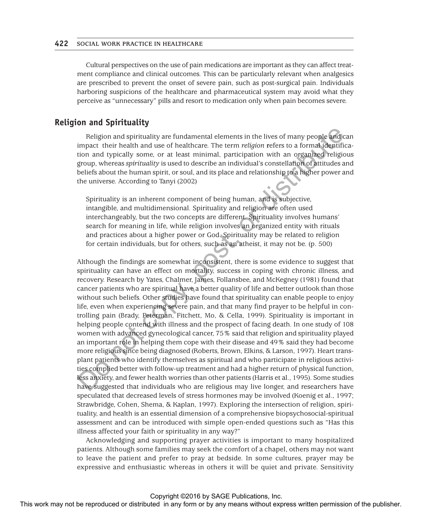Cultural perspectives on the use of pain medications are important as they can affect treatment compliance and clinical outcomes. This can be particularly relevant when analgesics are prescribed to prevent the onset of severe pain, such as post-surgical pain. Individuals harboring suspicions of the healthcare and pharmaceutical system may avoid what they perceive as "unnecessary" pills and resort to medication only when pain becomes severe.

## **Religion and Spirituality**

Religion and spirituality are fundamental elements in the lives of many people and can impact their health and use of healthcare. The term *religion* **r**efers to a formal identification and typically some, or at least minimal, participation with an organized religious group, whereas *spirituality* is used to describe an individual's constellation of attitudes and beliefs about the human spirit, or soul, and its place and relationship to a higher power and the universe. According to Tanyi (2002)

Spirituality is an inherent component of being human, and is subjective, intangible, and multidimensional. Spirituality and religion are often used interchangeably, but the two concepts are different. Spirituality involves humans' search for meaning in life, while religion involves an organized entity with rituals and practices about a higher power or God. Spirituality may be related to religion for certain individuals, but for others, such as an atheist, it may not be. (p. 500)

Although the findings are somewhat inconsistent, there is some evidence to suggest that spirituality can have an effect on mortality, success in coping with chronic illness, and recovery. Research by Yates, Chalmer, James, Follansbee, and McKegney (1981) found that cancer patients who are spiritual have a better quality of life and better outlook than those without such beliefs. Other studies have found that spirituality can enable people to enjoy life, even when experiencing severe pain, and that many find prayer to be helpful in controlling pain (Brady, Peterman, Fitchett, Mo, & Cella, 1999). Spirituality is important in helping people contend with illness and the prospect of facing death. In one study of 108 women with advanced gynecological cancer, 75% said that religion and spirituality played an important role in helping them cope with their disease and 49% said they had become more religious since being diagnosed (Roberts, Brown, Elkins, & Larson, 1997). Heart transplant patients who identify themselves as spiritual and who participate in religious activities complied better with follow-up treatment and had a higher return of physical function, less anxiety, and fewer health worries than other patients (Harris et al., 1995). Some studies have suggested that individuals who are religious may live longer, and researchers have speculated that decreased levels of stress hormones may be involved (Koenig et al., 1997; Strawbridge, Cohen, Shema, & Kaplan, 1997). Exploring the intersection of religion, spirituality, and health is an essential dimension of a comprehensive biopsychosocial-spiritual assessment and can be introduced with simple open-ended questions such as "Has this illness affected your faith or spirituality in any way?" The this work may not be reproduced or distribution of the reproduced or distributed in any form or a layer of the publisher with any means when the multiple of the publisher with a multiple permission or the publisher wi

Acknowledging and supporting prayer activities is important to many hospitalized patients. Although some families may seek the comfort of a chapel, others may not want to leave the patient and prefer to pray at bedside. In some cultures, prayer may be expressive and enthusiastic whereas in others it will be quiet and private. Sensitivity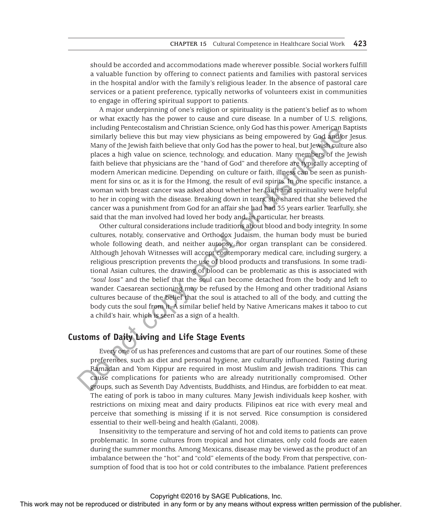should be accorded and accommodations made wherever possible. Social workers fulfill a valuable function by offering to connect patients and families with pastoral services in the hospital and/or with the family's religious leader. In the absence of pastoral care services or a patient preference, typically networks of volunteers exist in communities to engage in offering spiritual support to patients.

A major underpinning of one's religion or spirituality is the patient's belief as to whom or what exactly has the power to cause and cure disease. In a number of U.S. religions, including Pentecostalism and Christian Science, only God has this power. American Baptists similarly believe this but may view physicians as being empowered by God and/or Jesus. Many of the Jewish faith believe that only God has the power to heal, but Jewish culture also places a high value on science, technology, and education. Many members of the Jewish faith believe that physicians are the "hand of God" and therefore are typically accepting of modern American medicine. Depending on culture or faith, illness can be seen as punishment for sins or, as it is for the Hmong, the result of evil spirits. In one specific instance, a woman with breast cancer was asked about whether her faith and spirituality were helpful to her in coping with the disease. Breaking down in tears, she shared that she believed the cancer was a punishment from God for an affair she had had 35 years earlier. Tearfully, she said that the man involved had loved her body and, in particular, her breasts.

Other cultural considerations include traditions about blood and body integrity. In some cultures, notably, conservative and Orthodox Judaism, the human body must be buried whole following death, and neither autopsy nor organ transplant can be considered. Although Jehovah Witnesses will accept contemporary medical care, including surgery, a religious prescription prevents the use of blood products and transfusions. In some traditional Asian cultures, the drawing of blood can be problematic as this is associated with *"soul loss"* and the belief that the soul can become detached from the body and left to wander. Caesarean sectioning may be refused by the Hmong and other traditional Asians cultures because of the belief that the soul is attached to all of the body, and cutting the body cuts the soul from it. A similar belief held by Native Americans makes it taboo to cut a child's hair, which is seen as a sign of a health. The representation of the reproduced or distributed in any means we reproduced or distributed in any form or by any means with the reproduced in the publisher of the publisher. This work may note that the publisher in any

# **Customs of Daily Living and Life Stage Events**

Every one of us has preferences and customs that are part of our routines. Some of these preferences, such as diet and personal hygiene, are culturally influenced. Fasting during Ramadan and Yom Kippur are required in most Muslim and Jewish traditions. This can cause complications for patients who are already nutritionally compromised. Other groups, such as Seventh Day Adventists, Buddhists, and Hindus, are forbidden to eat meat. The eating of pork is taboo in many cultures. Many Jewish individuals keep kosher, with restrictions on mixing meat and dairy products. Filipinos eat rice with every meal and perceive that something is missing if it is not served. Rice consumption is considered essential to their well-being and health (Galanti, 2008).

Insensitivity to the temperature and serving of hot and cold items to patients can prove problematic. In some cultures from tropical and hot climates, only cold foods are eaten during the summer months. Among Mexicans, disease may be viewed as the product of an imbalance between the "hot" and "cold" elements of the body. From that perspective, consumption of food that is too hot or cold contributes to the imbalance. Patient preferences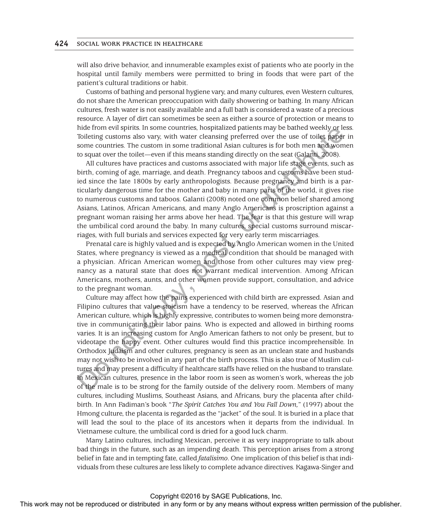will also drive behavior, and innumerable examples exist of patients who ate poorly in the hospital until family members were permitted to bring in foods that were part of the patient's cultural traditions or habit.

Customs of bathing and personal hygiene vary, and many cultures, even Western cultures, do not share the American preoccupation with daily showering or bathing. In many African cultures, fresh water is not easily available and a full bath is considered a waste of a precious resource. A layer of dirt can sometimes be seen as either a source of protection or means to hide from evil spirits. In some countries, hospitalized patients may be bathed weekly or less. Toileting customs also vary, with water cleansing preferred over the use of toilet paper in some countries. The custom in some traditional Asian cultures is for both men and women to squat over the toilet—even if this means standing directly on the seat (Galanti, 2008).

All cultures have practices and customs associated with major life stage events, such as birth, coming of age, marriage, and death. Pregnancy taboos and customs have been studied since the late 1800s by early anthropologists. Because pregnancy and birth is a particularly dangerous time for the mother and baby in many parts of the world, it gives rise to numerous customs and taboos. Galanti (2008) noted one common belief shared among Asians, Latinos, African Americans, and many Anglo Americans is proscription against a pregnant woman raising her arms above her head. The fear is that this gesture will wrap the umbilical cord around the baby. In many cultures, special customs surround miscarriages, with full burials and services expected for very early term miscarriages.

Prenatal care is highly valued and is expected by Anglo American women in the United States, where pregnancy is viewed as a medical condition that should be managed with a physician. African American women and those from other cultures may view pregnancy as a natural state that does not warrant medical intervention. Among African Americans, mothers, aunts, and other women provide support, consultation, and advice to the pregnant woman.

Culture may affect how the pains experienced with child birth are expressed. Asian and Filipino cultures that value stoicism have a tendency to be reserved, whereas the African American culture, which is highly expressive, contributes to women being more demonstrative in communicating their labor pains. Who is expected and allowed in birthing rooms varies. It is an increasing custom for Anglo American fathers to not only be present, but to videotape the happy event. Other cultures would find this practice incomprehensible. In Orthodox Judaism and other cultures, pregnancy is seen as an unclean state and husbands may not wish to be involved in any part of the birth process. This is also true of Muslim cultures and may present a difficulty if healthcare staffs have relied on the husband to translate. In Mexican cultures, presence in the labor room is seen as women's work, whereas the job of the male is to be strong for the family outside of the delivery room. Members of many cultures, including Muslims, Southeast Asians, and Africans, bury the placenta after childbirth. In Ann Fadiman's book "*The Spirit Catches You and You Fall Down,*" (1997) about the Hmong culture, the placenta is regarded as the "jacket" of the soul. It is buried in a place that will lead the soul to the place of its ancestors when it departs from the individual. In Vietnamese culture, the umbilical cord is dried for a good luck charm. The repressed in the reproduced or the form of the reproduced or distributed in any form or by any means with the reproduced or the result of the result of the results of the results of the results of the results of the re

Many Latino cultures, including Mexican, perceive it as very inappropriate to talk about bad things in the future, such as an impending death. This perception arises from a strong belief in fate and in tempting fate, called *fatalisimo*. One implication of this belief is that individuals from these cultures are less likely to complete advance directives. Kagawa-Singer and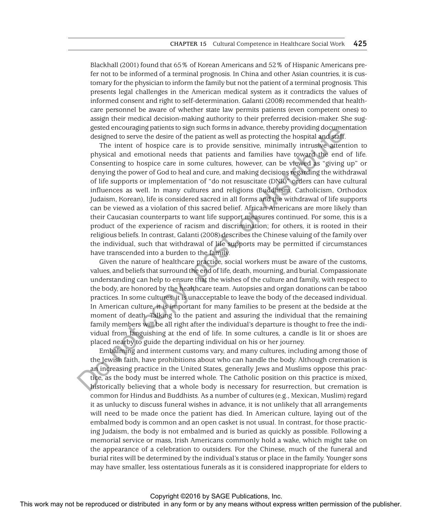Blackhall (2001) found that 65% of Korean Americans and 52% of Hispanic Americans prefer not to be informed of a terminal prognosis. In China and other Asian countries, it is customary for the physician to inform the family but not the patient of a terminal prognosis. This presents legal challenges in the American medical system as it contradicts the values of informed consent and right to self-determination. Galanti (2008) recommended that healthcare personnel be aware of whether state law permits patients (even competent ones) to assign their medical decision-making authority to their preferred decision-maker. She suggested encouraging patients to sign such forms in advance, thereby providing documentation designed to serve the desire of the patient as well as protecting the hospital and staff.

The intent of hospice care is to provide sensitive, minimally intrusive attention to physical and emotional needs that patients and families have toward the end of life. Consenting to hospice care in some cultures, however, can be viewed as "giving up" or denying the power of God to heal and cure, and making decisions regarding the withdrawal of life supports or implementation of "do not resuscitate (DNR)" orders can have cultural influences as well. In many cultures and religions (Buddhism, Catholicism, Orthodox Judaism, Korean), life is considered sacred in all forms and the withdrawal of life supports can be viewed as a violation of this sacred belief. African Americans are more likely than their Caucasian counterparts to want life support measures continued. For some, this is a product of the experience of racism and discrimination; for others, it is rooted in their religious beliefs. In contrast, Galanti (2008) describes the Chinese valuing of the family over the individual, such that withdrawal of life supports may be permitted if circumstances have transcended into a burden to the family.

Given the nature of healthcare practice, social workers must be aware of the customs, values, and beliefs that surround the end of life, death, mourning, and burial. Compassionate understanding can help to ensure that the wishes of the culture and family, with respect to the body, are honored by the healthcare team. Autopsies and organ donations can be taboo practices. In some cultures, it is unacceptable to leave the body of the deceased individual. In American culture, it is important for many families to be present at the bedside at the moment of death. Talking to the patient and assuring the individual that the remaining family members will be all right after the individual's departure is thought to free the individual from languishing at the end of life. In some cultures, a candle is lit or shoes are placed nearby to guide the departing individual on his or her journey.

Embalming and interment customs vary, and many cultures, including among those of the Jewish faith, have prohibitions about who can handle the body. Although cremation is an increasing practice in the United States, generally Jews and Muslims oppose this practice, as the body must be interred whole. The Catholic position on this practice is mixed, historically believing that a whole body is necessary for resurrection, but cremation is common for Hindus and Buddhists. As a number of cultures (e.g., Mexican, Muslim) regard it as unlucky to discuss funeral wishes in advance, it is not unlikely that all arrangements will need to be made once the patient has died. In American culture, laying out of the embalmed body is common and an open casket is not usual. In contrast, for those practicing Judaism, the body is not embalmed and is buried as quickly as possible. Following a memorial service or mass, Irish Americans commonly hold a wake, which might take on the appearance of a celebration to outsiders. For the Chinese, much of the funeral and burial rites will be determined by the individual's status or place in the family. Younger sons may have smaller, less ostentatious funerals as it is considered inappropriate for elders to person constrained in any first may not be reproduced or distributed in any form or distributed or distributed in any form or by any form or by any means with stribute the burst publisher. The publisher are the distribute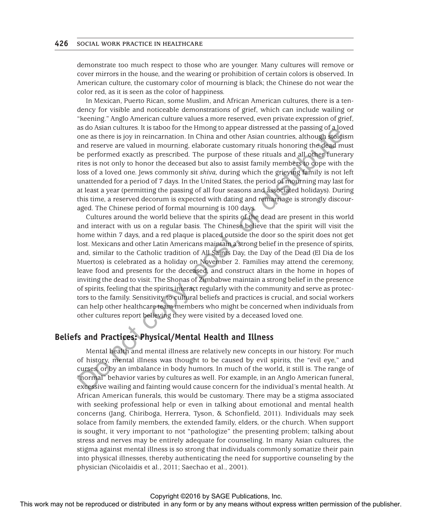demonstrate too much respect to those who are younger. Many cultures will remove or cover mirrors in the house, and the wearing or prohibition of certain colors is observed. In American culture, the customary color of mourning is black; the Chinese do not wear the color red, as it is seen as the color of happiness.

In Mexican, Puerto Rican, some Muslim, and African American cultures, there is a tendency for visible and noticeable demonstrations of grief, which can include wailing or "keening." Anglo American culture values a more reserved, even private expression of grief, as do Asian cultures. It is taboo for the Hmong to appear distressed at the passing of a loved one as there is joy in reincarnation. In China and other Asian countries, although stoicism and reserve are valued in mourning, elaborate customary rituals honoring the dead must be performed exactly as prescribed. The purpose of these rituals and all other funerary rites is not only to honor the deceased but also to assist family members to cope with the loss of a loved one. Jews commonly sit *shiva,* during which the grieving family is not left unattended for a period of 7 days. In the United States, the period of mourning may last for at least a year (permitting the passing of all four seasons and associated holidays). During this time, a reserved decorum is expected with dating and remarriage is strongly discouraged. The Chinese period of formal mourning is 100 days.

Cultures around the world believe that the spirits of the dead are present in this world and interact with us on a regular basis. The Chinese believe that the spirit will visit the home within 7 days, and a red plaque is placed outside the door so the spirit does not get lost. Mexicans and other Latin Americans maintain a strong belief in the presence of spirits, and, similar to the Catholic tradition of All Saints Day, the Day of the Dead (El Dia de los Muertos) is celebrated as a holiday on November 2. Families may attend the ceremony, leave food and presents for the deceased, and construct altars in the home in hopes of inviting the dead to visit. The Shonas of Zimbabwe maintain a strong belief in the presence of spirits, feeling that the spirits interact regularly with the community and serve as protectors to the family. Sensitivity to cultural beliefs and practices is crucial, and social workers can help other healthcare team members who might be concerned when individuals from other cultures report believing they were visited by a deceased loved one.

# **Beliefs and Practices: Physical/Mental Health and Illness**

Mental health and mental illness are relatively new concepts in our history. For much of history, mental illness was thought to be caused by evil spirits, the "evil eye," and curses, or by an imbalance in body humors. In much of the world, it still is. The range of "normal" behavior varies by cultures as well. For example, in an Anglo American funeral, excessive wailing and fainting would cause concern for the individual's mental health. At African American funerals, this would be customary. There may be a stigma associated with seeking professional help or even in talking about emotional and mental health concerns (Jang, Chiriboga, Herrera, Tyson, & Schonfield, 2011). Individuals may seek solace from family members, the extended family, elders, or the church. When support is sought, it very important to not "pathologize" the presenting problem; talking about stress and nerves may be entirely adequate for counseling. In many Asian cultures, the stigma against mental illness is so strong that individuals commonly somatize their pain into physical illnesses, thereby authenticating the need for supportive counseling by the physician (Nicolaidis et al., 2011; Saechao et al., 2001). We constructed to a method or the reproduced or the publisher of the publisher or by any means with the publisher or the publisher or the publisher or the publisher of the publisher or the publisher or the publisher or th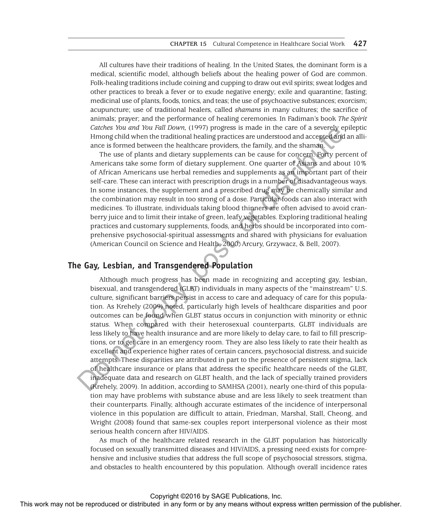All cultures have their traditions of healing. In the United States, the dominant form is a medical, scientific model, although beliefs about the healing power of God are common. Folk-healing traditions include coining and cupping to draw out evil spirits; sweat lodges and other practices to break a fever or to exude negative energy; exile and quarantine; fasting; medicinal use of plants, foods, tonics, and teas; the use of psychoactive substances; exorcism; acupuncture; use of traditional healers, called *shamans* in many cultures; the sacrifice of animals; prayer; and the performance of healing ceremonies. In Fadiman's book *The Spirit Catches You and You Fall Down,* (1997) progress is made in the care of a severely epileptic Hmong child when the traditional healing practices are understood and accepted and an alliance is formed between the healthcare providers, the family, and the shaman.

The use of plants and dietary supplements can be cause for concern. Forty percent of Americans take some form of dietary supplement. One quarter of Asians and about 10% of African Americans use herbal remedies and supplements as an important part of their self-care. These can interact with prescription drugs in a number of disadvantageous ways. In some instances, the supplement and a prescribed drug may be chemically similar and the combination may result in too strong of a dose. Particular foods can also interact with medicines. To illustrate, individuals taking blood thinners are often advised to avoid cranberry juice and to limit their intake of green, leafy vegetables. Exploring traditional healing practices and customary supplements, foods, and herbs should be incorporated into comprehensive psychosocial-spiritual assessments and shared with physicians for evaluation (American Council on Science and Health, 2000; Arcury, Grzywacz, & Bell, 2007).

## **The Gay, Lesbian, and Transgendered Population**

Although much progress has been made in recognizing and accepting gay, lesbian, bisexual, and transgendered (GLBT) individuals in many aspects of the "mainstream" U.S. culture, significant barriers persist in access to care and adequacy of care for this population. As Krehely (2009) noted, particularly high levels of healthcare disparities and poor outcomes can be found when GLBT status occurs in conjunction with minority or ethnic status. When compared with their heterosexual counterparts, GLBT individuals are less likely to have health insurance and are more likely to delay care, to fail to fill prescriptions, or to get care in an emergency room. They are also less likely to rate their health as excellent and experience higher rates of certain cancers, psychosocial distress, and suicide attempts. These disparities are attributed in part to the presence of persistent stigma, lack of healthcare insurance or plans that address the specific healthcare needs of the GLBT, inadequate data and research on GLBT health, and the lack of specially trained providers (Krehely, 2009). In addition, according to SAMHSA (2001), nearly one-third of this population may have problems with substance abuse and are less likely to seek treatment than their counterparts. Finally, although accurate estimates of the incidence of interpersonal violence in this population are difficult to attain, Friedman, Marshal, Stall, Cheong, and Wright (2008) found that same-sex couples report interpersonal violence as their most serious health concern after HIV/AIDS. The comparison is work may be reproduced or distributed in any form or distributed in any form or between the reproduced or distributed in any means with the publisher and the publisher or distributed in any form or by any

As much of the healthcare related research in the GLBT population has historically focused on sexually transmitted diseases and HIV/AIDS, a pressing need exists for comprehensive and inclusive studies that address the full scope of psychosocial stressors, stigma, and obstacles to health encountered by this population. Although overall incidence rates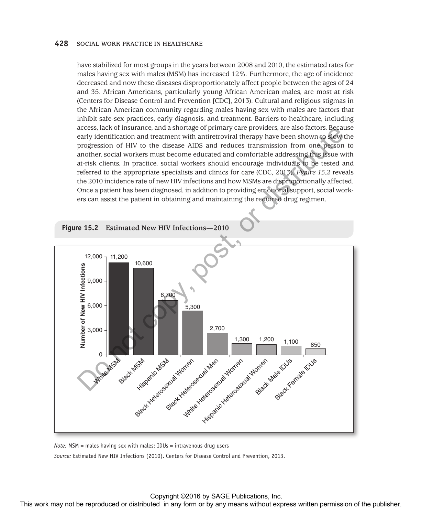have stabilized for most groups in the years between 2008 and 2010, the estimated rates for males having sex with males (MSM) has increased 12%. Furthermore, the age of incidence decreased and now these diseases disproportionately affect people between the ages of 24 and 35. African Americans, particularly young African American males, are most at risk (Centers for Disease Control and Prevention [CDC], 2013). Cultural and religious stigmas in the African American community regarding males having sex with males are factors that inhibit safe-sex practices, early diagnosis, and treatment. Barriers to healthcare, including access, lack of insurance, and a shortage of primary care providers, are also factors. Because early identification and treatment with antiretroviral therapy have been shown to slow the progression of HIV to the disease AIDS and reduces transmission from one person to another, social workers must become educated and comfortable addressing this issue with at-risk clients. In practice, social workers should encourage individuals to be tested and referred to the appropriate specialists and clinics for care (CDC, 2013). *Figure 15.2* reveals the 2010 incidence rate of new HIV infections and how MSMs are disproportionally affected. Once a patient has been diagnosed, in addition to providing emotional support, social workers can assist the patient in obtaining and maintaining the required drug regimen.





*Note:* MSM = males having sex with males; IDUs = intravenous drug users *Source:* Estimated New HIV Infections (2010). Centers for Disease Control and Prevention, 2013.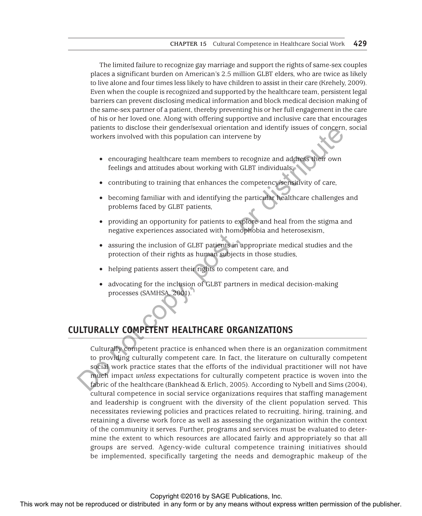The limited failure to recognize gay marriage and support the rights of same-sex couples places a significant burden on American's 2.5 million GLBT elders, who are twice as likely to live alone and four times less likely to have children to assist in their care (Krehely, 2009). Even when the couple is recognized and supported by the healthcare team, persistent legal barriers can prevent disclosing medical information and block medical decision making of the same-sex partner of a patient, thereby preventing his or her full engagement in the care of his or her loved one. Along with offering supportive and inclusive care that encourages patients to disclose their gender/sexual orientation and identify issues of concern, social workers involved with this population can intervene by

- encouraging healthcare team members to recognize and address their own feelings and attitudes about working with GLBT individuals;
- contributing to training that enhances the competency/sensitivity of care,
- becoming familiar with and identifying the particular healthcare challenges and problems faced by GLBT patients,
- providing an opportunity for patients to explore and heal from the stigma and negative experiences associated with homophobia and heterosexism,
- assuring the inclusion of GLBT patients in appropriate medical studies and the protection of their rights as human subjects in those studies,
- helping patients assert their rights to competent care, and
- advocating for the inclusion of GLBT partners in medical decision-making processes (SAMHSA, 2001).

# **CULTURALLY COMPETENT HEALTHCARE ORGANIZATIONS**

Culturally competent practice is enhanced when there is an organization commitment to providing culturally competent care. In fact, the literature on culturally competent social work practice states that the efforts of the individual practitioner will not have much impact *unless* expectations for culturally competent practice is woven into the fabric of the healthcare (Bankhead & Erlich, 2005). According to Nybell and Sims (2004), cultural competence in social service organizations requires that staffing management and leadership is congruent with the diversity of the client population served. This necessitates reviewing policies and practices related to recruiting, hiring, training, and retaining a diverse work force as well as assessing the organization within the context of the community it serves. Further, programs and services must be evaluated to determine the extent to which resources are allocated fairly and appropriately so that all groups are served. Agency-wide cultural competence training initiatives should be implemented, specifically targeting the needs and demographic makeup of the peterote or activities and the representation and the reproduced in any form or by any means with the publisher or the publisher contribution or activity with the multipulation of the multipulation of the publisher.<br>
The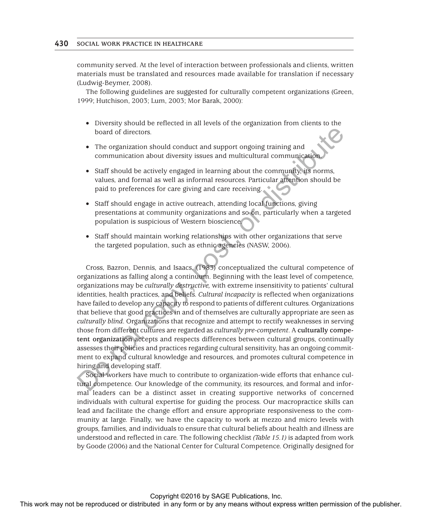community served. At the level of interaction between professionals and clients, written materials must be translated and resources made available for translation if necessary (Ludwig-Beymer, 2008).

The following guidelines are suggested for culturally competent organizations (Green, 1999; Hutchison, 2003; Lum, 2003; Mor Barak, 2000):

- Diversity should be reflected in all levels of the organization from clients to the board of directors.
- The organization should conduct and support ongoing training and communication about diversity issues and multicultural communication.
- Staff should be actively engaged in learning about the community, its norms, values, and formal as well as informal resources. Particular attention should be paid to preferences for care giving and care receiving.
- Staff should engage in active outreach, attending local functions, giving presentations at community organizations and so on, particularly when a targeted population is suspicious of Western bioscience.
- Staff should maintain working relationships with other organizations that serve the targeted population, such as ethnic agencies (NASW, 2006).

Cross, Bazron, Dennis, and Isaacs. (1983) conceptualized the cultural competence of organizations as falling along a continuum. Beginning with the least level of competence, organizations may be *culturally destructive,* with extreme insensitivity to patients' cultural identities, health practices, and beliefs. *Cultural incapacity* is reflected when organizations have failed to develop any capacity to respond to patients of different cultures. Organizations that believe that good practices in and of themselves are culturally appropriate are seen as *culturally blind*. Organizations that recognize and attempt to rectify weaknesses in serving those from different cultures are regarded as *culturally pre-competent*. A **culturally competent organization** accepts and respects differences between cultural groups, continually assesses their policies and practices regarding cultural sensitivity, has an ongoing commitment to expand cultural knowledge and resources, and promotes cultural competence in hiring and developing staff. beard of directors<br>
The organization about disentaly issues and moleculental communiques<br>
Surfatously expressed or distributed in any form or both the communiques<br>
Surfatously expressed or the publisher of the community o

Social workers have much to contribute to organization-wide efforts that enhance cultural competence. Our knowledge of the community, its resources, and formal and informal leaders can be a distinct asset in creating supportive networks of concerned individuals with cultural expertise for guiding the process. Our macropractice skills can lead and facilitate the change effort and ensure appropriate responsiveness to the community at large. Finally, we have the capacity to work at mezzo and micro levels with groups, families, and individuals to ensure that cultural beliefs about health and illness are understood and reflected in care. The following checklist *(Table 15.1)* is adapted from work by Goode (2006) and the National Center for Cultural Competence. Originally designed for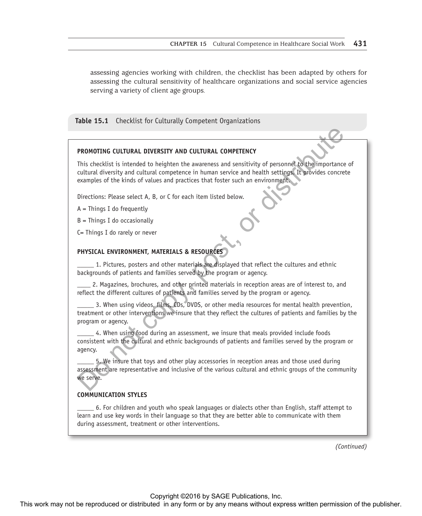assessing agencies working with children, the checklist has been adapted by others for assessing the cultural sensitivity of healthcare organizations and social service agencies serving a variety of client age groups.

### **Table 15.1** Checklist for Culturally Competent Organizations

#### **PROMOTING CULTURAL DIVERSITY AND CULTURAL COMPETENCY**

This checklist is intended to heighten the awareness and sensitivity of personnel to the importance of cultural diversity and cultural competence in human service and health settings. It provides concrete examples of the kinds of values and practices that foster such an environment.

Directions: Please select A, B, or C for each item listed below.

 $A =$ Things I do frequently

 $B =$ Things I do occasionally

C= Things I do rarely or never

#### **PHYSICAL ENVIRONMENT, MATERIALS & RESOURCES**

1. Pictures, posters and other materials are displayed that reflect the cultures and ethnic backgrounds of patients and families served by the program or agency.

2. Magazines, brochures, and other printed materials in reception areas are of interest to, and reflect the different cultures of patients and families served by the program or agency.

3. When using videos, films, CDs, DVDS, or other media resources for mental health prevention, treatment or other interventions we insure that they reflect the cultures of patients and families by the program or agency.

4. When using food during an assessment, we insure that meals provided include foods consistent with the cultural and ethnic backgrounds of patients and families served by the program or agency. **THE COUTURAL ENTRAL DESTRA AND CLUURAL COMPTRIENT THIS IS WELF THE CONDUCT THE CONDUCT CONDUCT THE CONDUCT CONDUCT CONDUCT CONDUCT CONDUCT CONDUCT CONDUCT CONDUCT CONDUCT CONDUCT CONDUCT CONDUCT CONDUCT CONDUCT CONDUCT C** 

\_\_\_\_\_ 5. We insure that toys and other play accessories in reception areas and those used during assessment are representative and inclusive of the various cultural and ethnic groups of the community we serve.

#### **COMMUNICATION STYLES**

\_\_\_\_\_ 6. For children and youth who speak languages or dialects other than English, staff attempt to learn and use key words in their language so that they are better able to communicate with them during assessment, treatment or other interventions.

*(Continued)*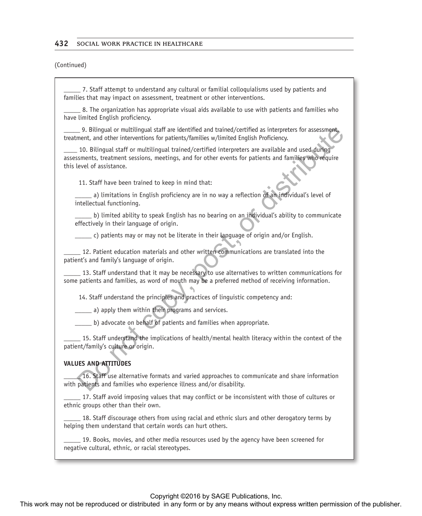(Continued)

7. Staff attempt to understand any cultural or familial colloquialisms used by patients and families that may impact on assessment, treatment or other interventions.

8. The organization has appropriate visual aids available to use with patients and families who have limited English proficiency.

\_\_\_\_\_ 9. Bilingual or multilingual staff are identified and trained/certified as interpreters for assessment, treatment, and other interventions for patients/families w/limited English Proficiency.

\_\_\_\_ 10. Bilingual staff or multilingual trained/certified interpreters are available and used during assessments, treatment sessions, meetings, and for other events for patients and families who require this level of assistance. This work may not be represented to the representation of the consideration of the consideration of the consideration of the consideration or by any means with the publisher of the publisher. This was not consider the publ

11. Staff have been trained to keep in mind that:

a) limitations in English proficiency are in no way a reflection of an individual's level of intellectual functioning.

\_\_\_\_\_ b) limited ability to speak English has no bearing on an individual's ability to communicate effectively in their language of origin.

c) patients may or may not be literate in their language of origin and/or English.

12. Patient education materials and other written communications are translated into the patient's and family's language of origin.

13. Staff understand that it may be necessary to use alternatives to written communications for some patients and families, as word of mouth may be a preferred method of receiving information.

14. Staff understand the principles and practices of linguistic competency and:

\_\_\_\_\_ a) apply them within their programs and services.

b) advocate on behalf of patients and families when appropriate.

\_\_\_\_\_ 15. Staff understand the implications of health/mental health literacy within the context of the patient/family's culture or origin.

#### **VALUES AND ATTITUDES**

\_\_\_\_\_ 16. Staff use alternative formats and varied approaches to communicate and share information with patients and families who experience illness and/or disability.

\_\_\_\_\_ 17. Staff avoid imposing values that may conflict or be inconsistent with those of cultures or ethnic groups other than their own.

18. Staff discourage others from using racial and ethnic slurs and other derogatory terms by helping them understand that certain words can hurt others.

19. Books, movies, and other media resources used by the agency have been screened for negative cultural, ethnic, or racial stereotypes.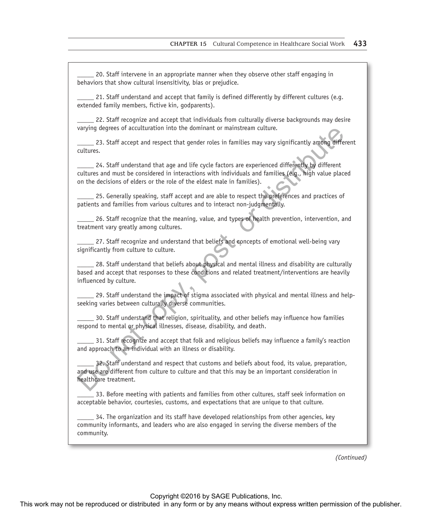20. Staff intervene in an appropriate manner when they observe other staff engaging in behaviors that show cultural insensitivity, bias or prejudice.

21. Staff understand and accept that family is defined differently by different cultures (e.g. extended family members, fictive kin, godparents).

22. Staff recognize and accept that individuals from culturally diverse backgrounds may desire varying degrees of acculturation into the dominant or mainstream culture.

23. Staff accept and respect that gender roles in families may vary significantly among different cultures.

24. Staff understand that age and life cycle factors are experienced differently by different cultures and must be considered in interactions with individuals and families (e.g., high value placed on the decisions of elders or the role of the eldest male in families).

25. Generally speaking, staff accept and are able to respect the preferences and practices of patients and families from various cultures and to interact non-judgmentally.

26. Staff recognize that the meaning, value, and types of health prevention, intervention, and treatment vary greatly among cultures.

27. Staff recognize and understand that beliefs and concepts of emotional well-being vary significantly from culture to culture.

28. Staff understand that beliefs about physical and mental illness and disability are culturally based and accept that responses to these conditions and related treatment/interventions are heavily influenced by culture.

29. Staff understand the impact of stigma associated with physical and mental illness and helpseeking varies between culturally diverse communities.

\_\_\_\_\_ 30. Staff understand that religion, spirituality, and other beliefs may influence how families respond to mental or physical illnesses, disease, disability, and death.

31. Staff recognize and accept that folk and religious beliefs may influence a family's reaction and approach to an individual with an illness or disability.

32. Staff understand and respect that customs and beliefs about food, its value, preparation, and use are different from culture to culture and that this may be an important consideration in healthcare treatment. variance so the reproduced or distributed in any form or the representations. This work may not be reproduced in any form or by any means were permission of the record or distributed in any form or distributed in any form

33. Before meeting with patients and families from other cultures, staff seek information on acceptable behavior, courtesies, customs, and expectations that are unique to that culture.

34. The organization and its staff have developed relationships from other agencies, key community informants, and leaders who are also engaged in serving the diverse members of the community.

*(Continued)*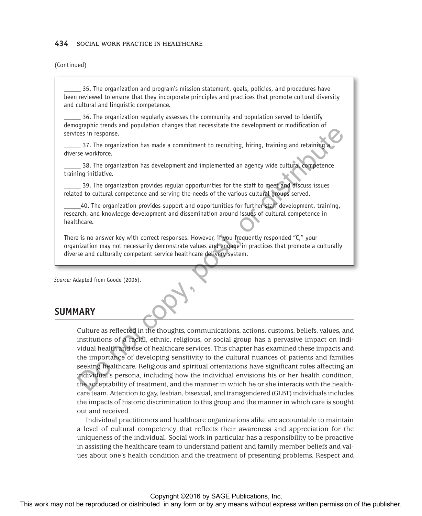(Continued)

\_\_\_\_\_ 35. The organization and program's mission statement, goals, policies, and procedures have been reviewed to ensure that they incorporate principles and practices that promote cultural diversity and cultural and linguistic competence.

36. The organization regularly assesses the community and population served to identify demographic trends and population changes that necessitate the development or modification of services in response.

37. The organization has made a commitment to recruiting, hiring, training and retaining diverse workforce.

\_\_\_\_\_ 38. The organization has development and implemented an agency wide cultural competence training initiative.

\_\_\_\_\_ 39. The organization provides regular opportunities for the staff to meet and discuss issues related to cultural competence and serving the needs of the various cultural groups served.

\_\_\_\_\_40. The organization provides support and opportunities for further staff development, training, research, and knowledge development and dissemination around issues of cultural competence in healthcare.

There is no answer key with correct responses. However, if you frequently responded "C," your organization may not necessarily demonstrate values and engage in practices that promote a culturally diverse and culturally competent service healthcare delivery system.

*Source:* Adapted from Goode (2006).

## **SUMMARY**

Culture as reflected in the thoughts, communications, actions, customs, beliefs, values, and institutions of a racial, ethnic, religious, or social group has a pervasive impact on individual health and use of healthcare services. This chapter has examined these impacts and the importance of developing sensitivity to the cultural nuances of patients and families seeking healthcare. Religious and spiritual orientations have significant roles affecting an individual's persona, including how the individual envisions his or her health condition, the acceptability of treatment, and the manner in which he or she interacts with the healthcare team. Attention to gay, lesbian, bisexual, and transgendered (GLBT) individuals includes the impacts of historic discrimination to this group and the manner in which care is sought out and received. This work may not be reproduced or distributed in any form or by any means which contains a stationary and the reproduced in any means with the publisher and the publisher. This population are produced in any or be a stat

Individual practitioners and healthcare organizations alike are accountable to maintain a level of cultural competency that reflects their awareness and appreciation for the uniqueness of the individual. Social work in particular has a responsibility to be proactive in assisting the healthcare team to understand patient and family member beliefs and values about one's health condition and the treatment of presenting problems. Respect and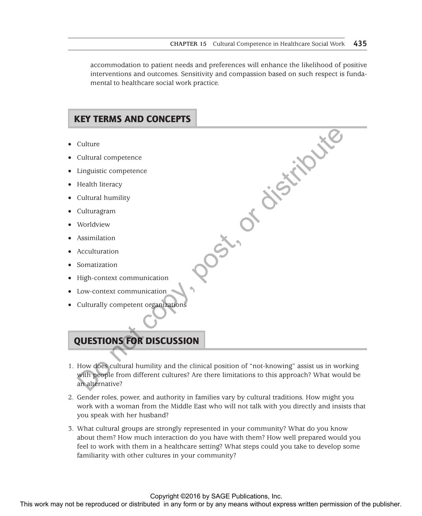accommodation to patient needs and preferences will enhance the likelihood of positive interventions and outcomes. Sensitivity and compassion based on such respect is fundamental to healthcare social work practice.



- 1. How does cultural humility and the clinical position of "not-knowing" assist us in working with people from different cultures? Are there limitations to this approach? What would be an alternative?
- 2. Gender roles, power, and authority in families vary by cultural traditions. How might you work with a woman from the Middle East who will not talk with you directly and insists that you speak with her husband?
- 3. What cultural groups are strongly represented in your community? What do you know about them? How much interaction do you have with them? How well prepared would you feel to work with them in a healthcare setting? What steps could you take to develop some familiarity with other cultures in your community?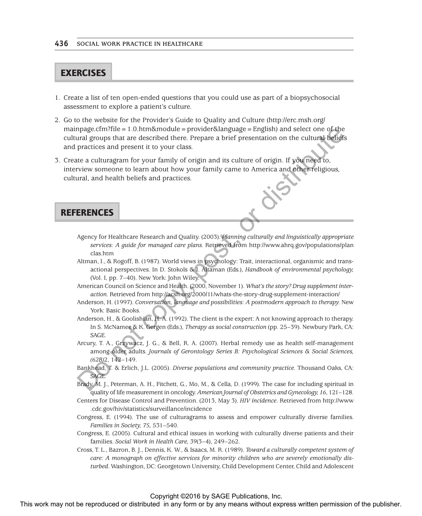# **EXERCISES**

- 1. Create a list of ten open-ended questions that you could use as part of a biopsychosocial assessment to explore a patient's culture.
- 2. Go to the website for the Provider's Guide to Quality and Culture (http://erc.msh.org/ mainpage.cfm?file=1.0.htm&module=provider&language=English) and select one of the cultural groups that are described there. Prepare a brief presentation on the cultural beliefs and practices and present it to your class.
- 3. Create a culturagram for your family of origin and its culture of origin. If you need to, interview someone to learn about how your family came to America and other religious, cultural, and health beliefs and practices. This may not be reproduced or the reproduced or distributed in any means with the reproduced or distributed or distributed in any means when the publisher.<br>
The reproduced or distributed in a space of the publisher of the

## **REFERENCES**

- Agency for Healthcare Research and Quality. (2003). *Planning culturally and linguistically appropriate services: A guide for managed care plans.* Retrieved from http://www.ahrq.gov/populations/plan clas.htm
- Altman, I., & Rogoff, B. (1987). World views in psychology: Trait, interactional, organismic and transactional perspectives. In D. Stokols & I. Altaman (Eds.), *Handbook of environmental psychology,*  (Vol. I, pp. 7–40). New York: John Wiley.
- American Council on Science and Health. (2000, November 1). *What's the story? Drug supplement interaction*. Retrieved from http://acsh.org/2000/11/whats-the-story-drug-supplement-interaction/
- Anderson, H. (1997). *Conversation, language and possibilities: A postmodern approach to therapy.* New York: Basic Books.
- Anderson, H., & Goolishian, H. A. (1992). The client is the expert: A not knowing approach to therapy. In S. McNamee & K. Gergen (Eds.), *Therapy as social construction* (pp. 25–39). Newbury Park, CA: SAGE.
- Arcury, T. A., Grzywacz, J. G., & Bell, R. A. (2007). Herbal remedy use as health self-management among older adults. *Journals of Gerontology Series B: Psychological Sciences & Social Sciences, (62B)*2, 142–149.
- Bankhead, T. & Erlich, J.L. (2005). *Diverse populations and community practice.* Thousand Oaks, CA: SAGE.
- Brady, M. J., Peterman, A. H., Fitchett, G., Mo, M., & Cella, D. (1999). The case for including spiritual in quality of life measurement in oncology. *American Journal of Obstetrics and Gynecology, 16*, 121–128.
- Centers for Disease Control and Prevention. (2013, May 3). *HIV incidence*. Retrieved from http://www .cdc.gov/hiv/statistics/surveillance/incidence
- Congress, E. (1994). The use of culturagrams to assess and empower culturally diverse families. *Families in Society, 75,* 531–540.
- Congress, E. (2005). Cultural and ethical issues in working with culturally diverse patients and their families. *Social Work in Health Care, 39*(3–4), 249–262.
- Cross, T. L., Bazron, B. J., Dennis, K. W., & Isaacs, M. R. (1989). *Toward a culturally competent system of care: A monograph on effective services for minority children who are severely emotionally disturbed*. Washington, DC: Georgetown University, Child Development Center, Child and Adolescent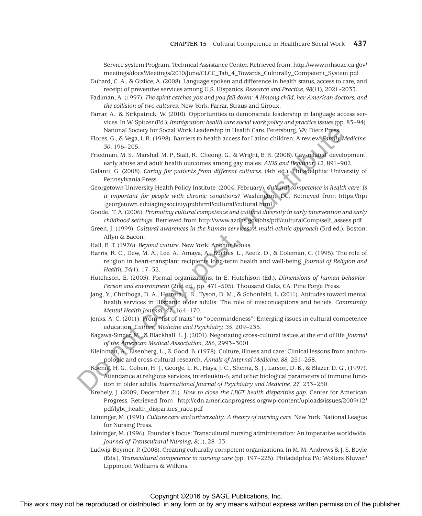Service system Program, Technical Assistance Center. Retrieved from: http://www.mhsoac.ca.gov/ meetings/docs/Meetings/2010/June/CLCC\_Tab\_4\_Towards\_Culturally\_Competent\_System.pdf

- Dubard, C. A., & Gizlice, A. (2008). Language spoken and difference in health status, access to care, and receipt of preventive services among U.S. Hispanics. *Research and Practice, 98*(11), 2021–2033.
- Fadiman, A. (1997). *The spirit catches you and you fall down: A Hmong child, her American doctors, and the collision of two cultures*. New York: Farrar, Straus and Giroux.
- Farrar, A., & Kirkpatrick, W. (2010). Opportunities to demonstrate leadership in language access services. In W. Spitzer (Ed*.*), *Immigration: health care social work policy and practice issues* (pp. 83–94). National Society for Social Work Leadership in Health Care. Petersburg, VA: Dietz Press.
- Flores, G., & Vega, L.R. (1998). Barriers to health access for Latino children: A review. *Family Medicine, 30*, 196–205.
- Friedman, M. S., Marshal, M. P., Stall, R., Cheong, G., & Wright, E. R. (2008). Gay-related development, early abuse and adult health outcomes among gay males. *AIDS and Behavior, 12*, 891–902.
- Galanti, G. (2008). *Caring for patients from different cultures.* (4th ed.)*.* Philadelphia: University of Pennsylvania Press.
- Georgetown University Health Policy Institute. (2004, February). *Cultural competence in health care: Is it important for people with chronic conditions?* Washington, DC. Retrieved from [https://hpi](https://hpi
.georgetown.edu/agingsociety/pubhtml/cultural/cultural.html) .georgetown.edu/agingsociety/pubhtml/cultural/cultural.html
- Goode., T. A. (2006). *Promoting cultural competence and cultural diversity in early intervention and early childhood settings*. Retrieved from http://www.azdhs.gov/bhs/pdf/culturalComp/self\_assess.pdf
- Green, J. (1999). *Cultural awareness in the human services: A multi-ethnic approach* (3rd ed.). Boston: Allyn & Bacon.
- Hall, E. T. (1976). *Beyond culture*. New York: Anchor Books.
- Harris, R. C., Dew, M. A., Lee, A., Amaya, A., Buches, L., Reetz, D., & Coleman, C. (1995). The role of religion in heart-transplant recipients long-term health and well-being. *Journal of Religion and Health, 34(*1), 17–32.
- Hutchison, E. (2003). Formal organizations. In E. Hutchison (Ed.), *Dimensions of human behavior: Person and environment* (2nd ed., pp. 471–505). Thousand Oaks, CA: Pine Forge Press.
- Jang, Y., Chiriboga, D. A., Herrera, J. R., Tyson, D. M., & Schonfeld, L. (2011). Attitudes toward mental health services in Hispanic older adults: The role of misconceptions and beliefs. *Community Mental Health Journal, 47*, 164–170.
- Jenks, A. C. (2011). From "list of traits" to "openmindeness": Emerging issues in cultural competence education. *Culture, Medicine and Psychiatry, 35*, 209–235.
- Kagawa-Singer, M., & Blackhall, L. J. (2001). Negotiating cross-cultural issues at the end of life. *Journal of the American Medical Association, 286*, 2993–3001.
- Kleinman, A., Eisenberg, L., & Good, B. (1978). Culture, illness and care: Clinical lessons from anthropologic and cross-cultural research. *Annals of Internal Medicine, 88,* 251–258.
- Koenig, H. G., Cohen, H. J., George, L. K., Hays, J. C., Shema, S. J., Larson, D. B., & Blazer, D. G., (1997). Attendance at religious services, interleukin-6, and other biological parameters of immune function in older adults. *International Journal of Psychiatry and Medicine, 27,* 233–250.
- Krehely, J. (2009, December 21). *How to close the LBGT health disparities gap*. Center for American Progress. Retrieved from http://cdn.americanprogress.org/wp-content/uploads/issues/2009/12/ pdf/lgbt\_health\_disparities\_race.pdf Notice Act (Way have the rest [or](http://www.azdhs.gov/bhs/pdf/culturalComp/self_assess.pdf) the rest or [di](https://hpi
.georgetown.edu/agingsociety/pubhtml/cultural/cultural.html)stribution in any form or by any form or by any means with the reproduced or distributed in any form of the state of the state of the state of the state of the state of the s
	- Leininger, M. (1991). *Culture care and universality: A theory of nursing care*. New York: National League for Nursing Press.
	- Leininger, M. (1996). Founder's focus: Transcultural nursing administration: An imperative worldwide. *Journal of Transcultural Nursing, 8*(1), 28–33.
	- Ludwig-Beymer, P. (2008). Creating culturally competent organizations. In M. M. Andrews & J. S. Boyle (Eds.), *Transcultural competence in nursing care* (pp. 197–225). Philadelphia PA: Wolters Kluwer/ Lippincott Williams & Wilkins.